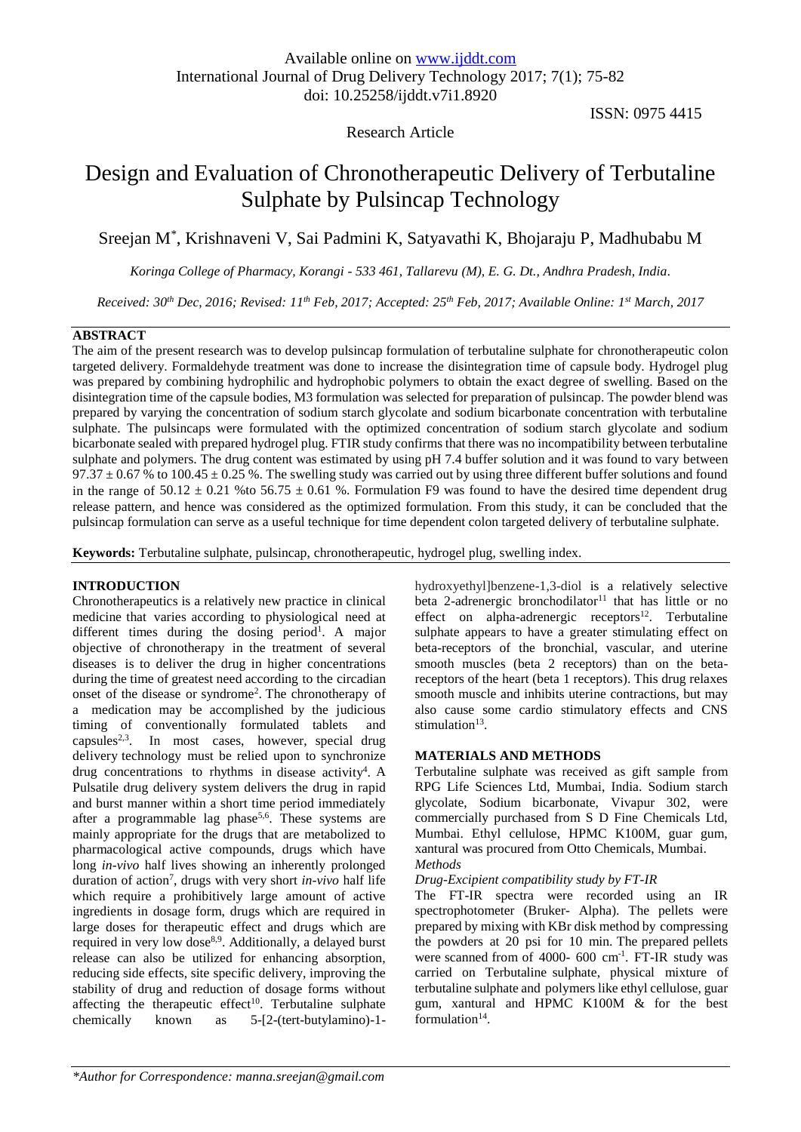# Research Article

ISSN: 0975 4415

# Design and Evaluation of Chronotherapeutic Delivery of Terbutaline Sulphate by Pulsincap Technology

Sreejan M\* , Krishnaveni V, Sai Padmini K, Satyavathi K, Bhojaraju P, Madhubabu M

*Koringa College of Pharmacy, Korangi - 533 461, Tallarevu (M), E. G. Dt., Andhra Pradesh, India.*

*Received: 30th Dec, 2016; Revised: 11th Feb, 2017; Accepted: 25th Feb, 2017; Available Online: 1st March, 2017*

# **ABSTRACT**

The aim of the present research was to develop pulsincap formulation of terbutaline sulphate for chronotherapeutic colon targeted delivery. Formaldehyde treatment was done to increase the disintegration time of capsule body. Hydrogel plug was prepared by combining hydrophilic and hydrophobic polymers to obtain the exact degree of swelling. Based on the disintegration time of the capsule bodies, M3 formulation was selected for preparation of pulsincap. The powder blend was prepared by varying the concentration of sodium starch glycolate and sodium bicarbonate concentration with terbutaline sulphate. The pulsincaps were formulated with the optimized concentration of sodium starch glycolate and sodium bicarbonate sealed with prepared hydrogel plug. FTIR study confirms that there was no incompatibility between terbutaline sulphate and polymers. The drug content was estimated by using pH 7.4 buffer solution and it was found to vary between  $97.37 \pm 0.67$  % to  $100.45 \pm 0.25$  %. The swelling study was carried out by using three different buffer solutions and found in the range of  $50.12 \pm 0.21$  % to  $56.75 \pm 0.61$  %. Formulation F9 was found to have the desired time dependent drug release pattern, and hence was considered as the optimized formulation. From this study, it can be concluded that the pulsincap formulation can serve as a useful technique for time dependent colon targeted delivery of terbutaline sulphate.

**Keywords:** Terbutaline sulphate, pulsincap, chronotherapeutic, hydrogel plug, swelling index.

# **INTRODUCTION**

Chronotherapeutics is a relatively new practice in clinical medicine that varies according to physiological need at different times during the dosing period<sup>1</sup>. A major objective of chronotherapy in the treatment of several diseases is to deliver the drug in higher concentrations during the time of greatest need according to the circadian onset of the disease or syndrome 2 . The chronotherapy of a medication may be accomplished by the judicious timing of conventionally formulated tablets and capsules<sup>2,3</sup>. In most cases, however, special drug delivery technology must be relied upon to synchronize drug concentrations to rhythms in disease activity<sup>4</sup>. A Pulsatile drug delivery system delivers the drug in rapid and burst manner within a short time period immediately after a programmable lag phase<sup>5,6</sup>. These systems are mainly appropriate for the drugs that are metabolized to pharmacological active compounds, drugs which have long *in-vivo* half lives showing an inherently prolonged duration of action<sup>7</sup>, drugs with very short *in-vivo* half life which require a prohibitively large amount of active ingredients in dosage form, drugs which are required in large doses for therapeutic effect and drugs which are required in very low dose<sup>8,9</sup>. Additionally, a delayed burst release can also be utilized for enhancing absorption, reducing side effects, site specific delivery, improving the stability of drug and reduction of dosage forms without affecting the therapeutic effect<sup>10</sup>. Terbutaline sulphate chemically known as 5-[2-(tert-butylamino)-1hydroxyethyl]benzene-1,3-diol is a relatively selective beta 2-adrenergic bronchodilator<sup>11</sup> that has little or no effect on alpha-adrenergic receptors<sup>12</sup>. Terbutaline sulphate appears to have a greater stimulating effect on beta-receptors of the bronchial, vascular, and uterine smooth muscles (beta 2 receptors) than on the betareceptors of the heart (beta 1 receptors). This drug relaxes smooth muscle and inhibits uterine contractions, but may also cause some cardio stimulatory effects and CNS stimulation<sup>13</sup>.

# **MATERIALS AND METHODS**

Terbutaline sulphate was received as gift sample from RPG Life Sciences Ltd, Mumbai, India. Sodium starch glycolate, Sodium bicarbonate, Vivapur 302, were commercially purchased from S D Fine Chemicals Ltd, Mumbai. Ethyl cellulose, HPMC K100M, guar gum, xantural was procured from Otto Chemicals, Mumbai. *Methods*

#### *Drug-Excipient compatibility study by FT-IR*

The FT-IR spectra were recorded using an IR spectrophotometer (Bruker- Alpha). The pellets were prepared by mixing with KBr disk method by compressing the powders at 20 psi for 10 min. The prepared pellets were scanned from of 4000- 600 cm<sup>-1</sup>. FT-IR study was carried on Terbutaline sulphate, physical mixture of terbutaline sulphate and polymers like ethyl cellulose, guar gum, xantural and HPMC K100M & for the best formulation<sup>14</sup>.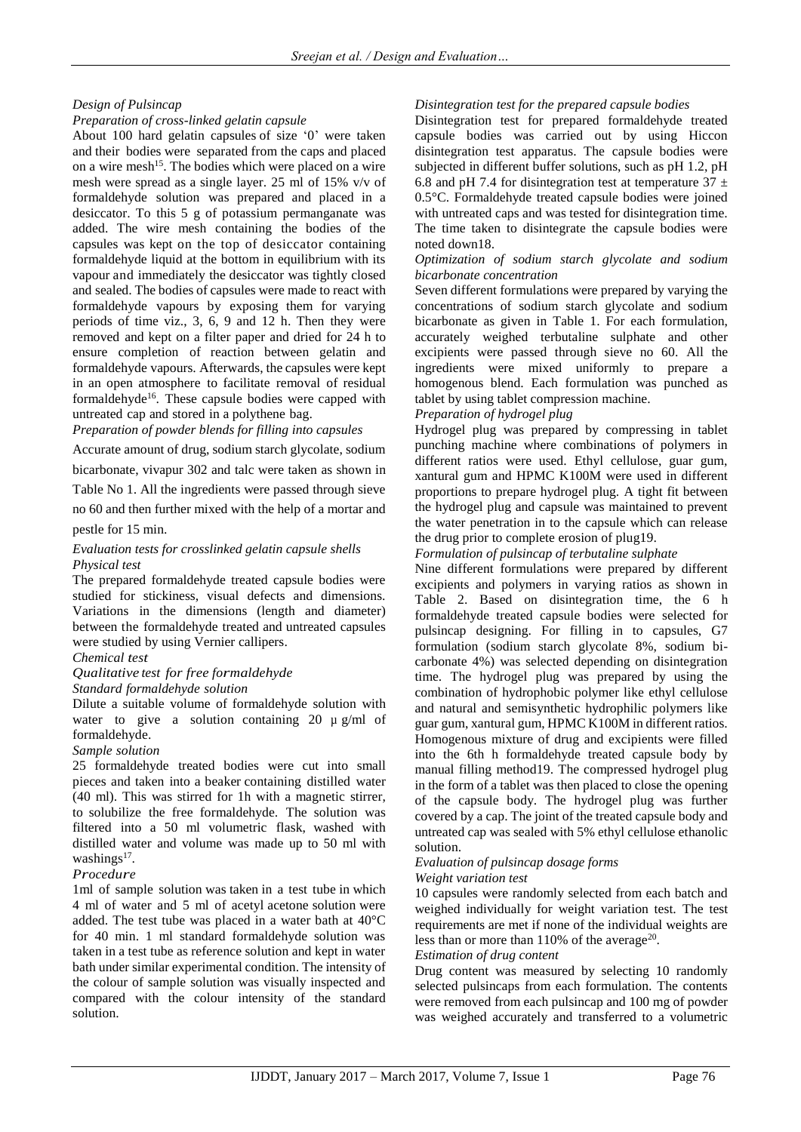# *Design of Pulsincap*

# *Preparation of cross-linked gelatin capsule*

About 100 hard gelatin capsules of size '0' were taken and their bodies were separated from the caps and placed on a wire mesh <sup>15</sup>. The bodies which were placed on a wire mesh were spread as a single layer. 25 ml of 15% v/v of formaldehyde solution was prepared and placed in a desiccator. To this 5 g of potassium permanganate was added. The wire mesh containing the bodies of the capsules was kept on the top of desiccator containing formaldehyde liquid at the bottom in equilibrium with its vapour and immediately the desiccator was tightly closed and sealed. The bodies of capsules were made to react with formaldehyde vapours by exposing them for varying periods of time viz., 3, 6, 9 and 12 h. Then they were removed and kept on a filter paper and dried for 24 h to ensure completion of reaction between gelatin and formaldehyde vapours. Afterwards, the capsules were kept in an open atmosphere to facilitate removal of residual formaldehyde<sup>16</sup>. These capsule bodies were capped with untreated cap and stored in a polythene bag.

*Preparation of powder blends for filling into capsules*

Accurate amount of drug, sodium starch glycolate, sodium

bicarbonate, vivapur 302 and talc were taken as shown in

Table No 1. All the ingredients were passed through sieve

no 60 and then further mixed with the help of a mortar and

pestle for 15 min.

# *Evaluation tests for crosslinked gelatin capsule shells Physical test*

The prepared formaldehyde treated capsule bodies were studied for stickiness, visual defects and dimensions. Variations in the dimensions (length and diameter) between the formaldehyde treated and untreated capsules were studied by using Vernier callipers.

# *Chemical test*

#### *Qualitative test for free formaldehyde Standard formaldehyde solution*

Dilute a suitable volume of formaldehyde solution with water to give a solution containing 20  $\mu$  g/ml of formaldehyde.

# *Sample solution*

25 formaldehyde treated bodies were cut into small pieces and taken into a beaker containing distilled water (40 ml). This was stirred for 1h with a magnetic stirrer, to solubilize the free formaldehyde. The solution was filtered into a 50 ml volumetric flask, washed with distilled water and volume was made up to 50 ml with washings<sup>17</sup>.

# *Procedure*

1ml of sample solution was taken in a test tube in which 4 ml of water and 5 ml of acetyl acetone solution were added. The test tube was placed in a water bath at 40°C for 40 min. 1 ml standard formaldehyde solution was taken in a test tube as reference solution and kept in water bath under similar experimental condition. The intensity of the colour of sample solution was visually inspected and compared with the colour intensity of the standard solution.

# *Disintegration test for the prepared capsule bodies*

Disintegration test for prepared formaldehyde treated capsule bodies was carried out by using Hiccon disintegration test apparatus. The capsule bodies were subjected in different buffer solutions, such as pH 1.2, pH 6.8 and pH 7.4 for disintegration test at temperature  $37 \pm$ 0.5°C. Formaldehyde treated capsule bodies were joined with untreated caps and was tested for disintegration time. The time taken to disintegrate the capsule bodies were noted down18.

## *Optimization of sodium starch glycolate and sodium bicarbonate concentration*

Seven different formulations were prepared by varying the concentrations of sodium starch glycolate and sodium bicarbonate as given in Table 1. For each formulation, accurately weighed terbutaline sulphate and other excipients were passed through sieve no 60. All the ingredients were mixed uniformly to prepare a homogenous blend. Each formulation was punched as tablet by using tablet compression machine.

# *Preparation of hydrogel plug*

Hydrogel plug was prepared by compressing in tablet punching machine where combinations of polymers in different ratios were used. Ethyl cellulose, guar gum, xantural gum and HPMC K100M were used in different proportions to prepare hydrogel plug. A tight fit between the hydrogel plug and capsule was maintained to prevent the water penetration in to the capsule which can release the drug prior to complete erosion of plug19.

# *Formulation of pulsincap of terbutaline sulphate*

Nine different formulations were prepared by different excipients and polymers in varying ratios as shown in Table 2. Based on disintegration time, the 6 h formaldehyde treated capsule bodies were selected for pulsincap designing. For filling in to capsules, G7 formulation (sodium starch glycolate 8%, sodium bicarbonate 4%) was selected depending on disintegration time. The hydrogel plug was prepared by using the combination of hydrophobic polymer like ethyl cellulose and natural and semisynthetic hydrophilic polymers like guar gum, xantural gum, HPMC K100M in different ratios. Homogenous mixture of drug and excipients were filled into the 6th h formaldehyde treated capsule body by manual filling method19. The compressed hydrogel plug in the form of a tablet was then placed to close the opening of the capsule body. The hydrogel plug was further covered by a cap. The joint of the treated capsule body and untreated cap was sealed with 5% ethyl cellulose ethanolic solution.

# *Evaluation of pulsincap dosage forms*

#### *Weight variation test*

10 capsules were randomly selected from each batch and weighed individually for weight variation test. The test requirements are met if none of the individual weights are less than or more than  $110\%$  of the average<sup>20</sup>.

## *Estimation of drug content*

Drug content was measured by selecting 10 randomly selected pulsincaps from each formulation. The contents were removed from each pulsincap and 100 mg of powder was weighed accurately and transferred to a volumetric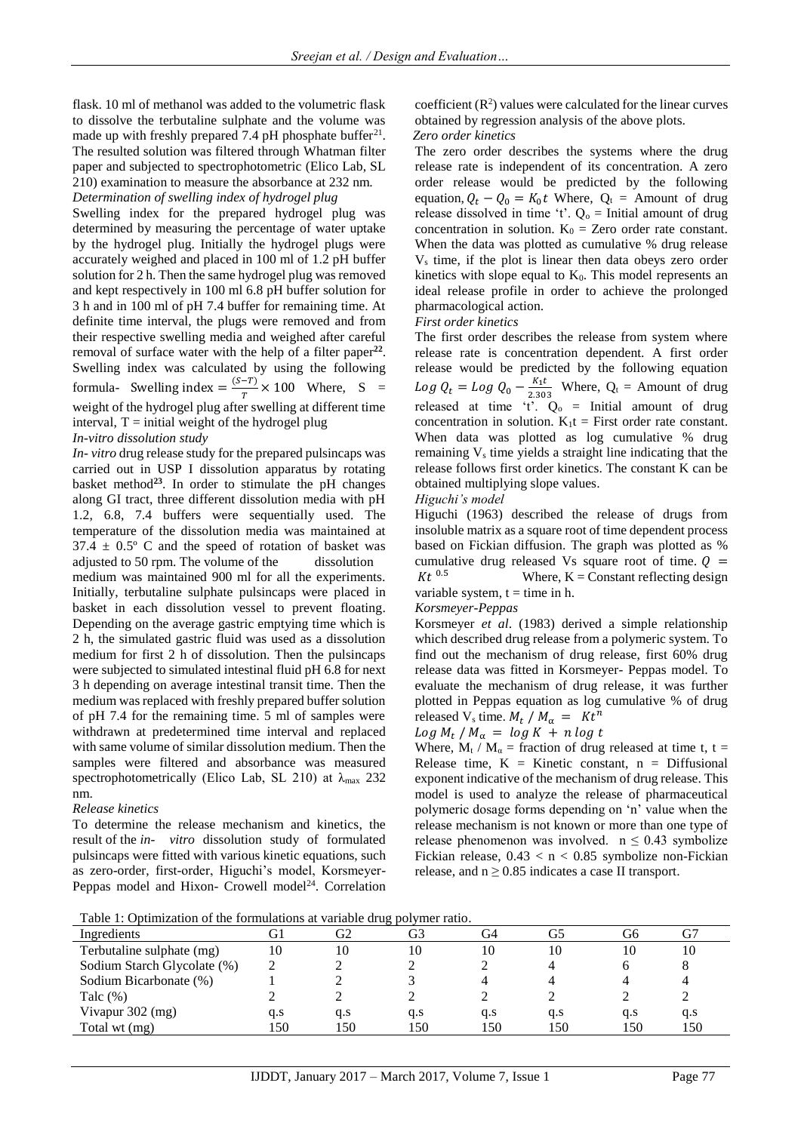flask. 10 ml of methanol was added to the volumetric flask to dissolve the terbutaline sulphate and the volume was made up with freshly prepared 7.4 pH phosphate buffer $^{21}$ . The resulted solution was filtered through Whatman filter paper and subjected to spectrophotometric (Elico Lab, SL 210) examination to measure the absorbance at 232 nm.

*Determination of swelling index of hydrogel plug* Swelling index for the prepared hydrogel plug was determined by measuring the percentage of water uptake by the hydrogel plug. Initially the hydrogel plugs were accurately weighed and placed in 100 ml of 1.2 pH buffer solution for 2 h. Then the same hydrogel plug was removed and kept respectively in 100 ml 6.8 pH buffer solution for 3 h and in 100 ml of pH 7.4 buffer for remaining time. At definite time interval, the plugs were removed and from their respective swelling media and weighed after careful removal of surface water with the help of a filter paper<sup>22</sup>. Swelling index was calculated by using the following formula- Swelling index =  $\frac{(S-T)}{T}$  $\frac{-1}{T}$  × 100 Where, S = weight of the hydrogel plug after swelling at different time interval,  $T =$  initial weight of the hydrogel plug

#### *In-vitro dissolution study*

*In- vitro* drug release study for the prepared pulsincaps was carried out in USP I dissolution apparatus by rotating basket method**<sup>23</sup>**. In order to stimulate the pH changes along GI tract, three different dissolution media with pH 1.2, 6.8, 7.4 buffers were sequentially used. The temperature of the dissolution media was maintained at  $37.4 \pm 0.5$ ° C and the speed of rotation of basket was adjusted to 50 rpm. The volume of the dissolution medium was maintained 900 ml for all the experiments. Initially, terbutaline sulphate pulsincaps were placed in basket in each dissolution vessel to prevent floating. Depending on the average gastric emptying time which is 2 h, the simulated gastric fluid was used as a dissolution medium for first 2 h of dissolution. Then the pulsincaps were subjected to simulated intestinal fluid pH 6.8 for next 3 h depending on average intestinal transit time. Then the medium was replaced with freshly prepared buffer solution of pH 7.4 for the remaining time. 5 ml of samples were withdrawn at predetermined time interval and replaced with same volume of similar dissolution medium. Then the samples were filtered and absorbance was measured spectrophotometrically (Elico Lab, SL 210) at  $\lambda_{\text{max}}$  232 nm.

#### *Release kinetics*

To determine the release mechanism and kinetics, the result of the *in- vitro* dissolution study of formulated pulsincaps were fitted with various kinetic equations, such as zero-order, first-order, Higuchi's model, Korsmeyer-Peppas model and Hixon- Crowell model<sup>24</sup>. Correlation

coefficient  $(R^2)$  values were calculated for the linear curves obtained by regression analysis of the above plots. *Zero order kinetics*

The zero order describes the systems where the drug release rate is independent of its concentration. A zero order release would be predicted by the following equation,  $Q_t - Q_0 = K_0 t$  Where,  $Q_t$  = Amount of drug release dissolved in time 't'.  $Q_0$  = Initial amount of drug concentration in solution.  $K_0 = Zero$  order rate constant. When the data was plotted as cumulative % drug release  $V<sub>s</sub>$  time, if the plot is linear then data obeys zero order kinetics with slope equal to  $K_0$ . This model represents an ideal release profile in order to achieve the prolonged pharmacological action.

#### *First order kinetics*

The first order describes the release from system where release rate is concentration dependent. A first order release would be predicted by the following equation  $Log Q_t = Log Q_0 - \frac{K_1 t}{2.30}$  $\frac{R_1 t}{2.303}$  Where,  $Q_t$  = Amount of drug released at time 't'.  $Q_0$  = Initial amount of drug concentration in solution.  $K_1t =$  First order rate constant. When data was plotted as log cumulative % drug remaining  $V<sub>s</sub>$  time yields a straight line indicating that the release follows first order kinetics. The constant K can be obtained multiplying slope values.

## *Higuchi's model*

Higuchi (1963) described the release of drugs from insoluble matrix as a square root of time dependent process based on Fickian diffusion. The graph was plotted as % cumulative drug released Vs square root of time.  $Q =$  $Kt$ <sup>0.5</sup> Where,  $K =$  Constant reflecting design variable system,  $t =$  time in h.

# *Korsmeyer-Peppas*

Korsmeyer *et al*. (1983) derived a simple relationship which described drug release from a polymeric system. To find out the mechanism of drug release, first 60% drug release data was fitted in Korsmeyer- Peppas model. To evaluate the mechanism of drug release, it was further plotted in Peppas equation as log cumulative % of drug released V<sub>s</sub> time.  $M_t / M_\alpha = Kt^n$ 

$$
Log M_t / M_\alpha = log K + n log t
$$

Where,  $M_t / M_\alpha$  = fraction of drug released at time t, t = Release time,  $K =$  Kinetic constant,  $n =$  Diffusional exponent indicative of the mechanism of drug release. This model is used to analyze the release of pharmaceutical polymeric dosage forms depending on 'n' value when the release mechanism is not known or more than one type of release phenomenon was involved.  $n \leq 0.43$  symbolize Fickian release,  $0.43 < n < 0.85$  symbolize non-Fickian release, and  $n \geq 0.85$  indicates a case II transport.

Table 1: Optimization of the formulations at variable drug polymer ratio.

| $\mathbf{r}$ and $\mathbf{r}$ is a parameter of the formation at taillers of $\mathbf{r}_n$ por three factor |     |     |     |     |     |     |     |  |
|--------------------------------------------------------------------------------------------------------------|-----|-----|-----|-----|-----|-----|-----|--|
| Ingredients                                                                                                  |     | G2  | G3  | ි4  |     | G6  |     |  |
| Terbutaline sulphate (mg)                                                                                    | 10  | 10  | 10  | 10  |     | 10  | 10  |  |
| Sodium Starch Glycolate (%)                                                                                  |     |     |     |     |     |     |     |  |
| Sodium Bicarbonate (%)                                                                                       |     |     |     |     |     |     |     |  |
| Talc $(\%)$                                                                                                  |     |     |     |     |     |     |     |  |
| Vivapur 302 (mg)                                                                                             | q.s | q.s | q.s | q.s | q.s | q.s | q.s |  |
| Total wt (mg)                                                                                                | .50 | 150 | .50 | 150 | 150 | 150 | 150 |  |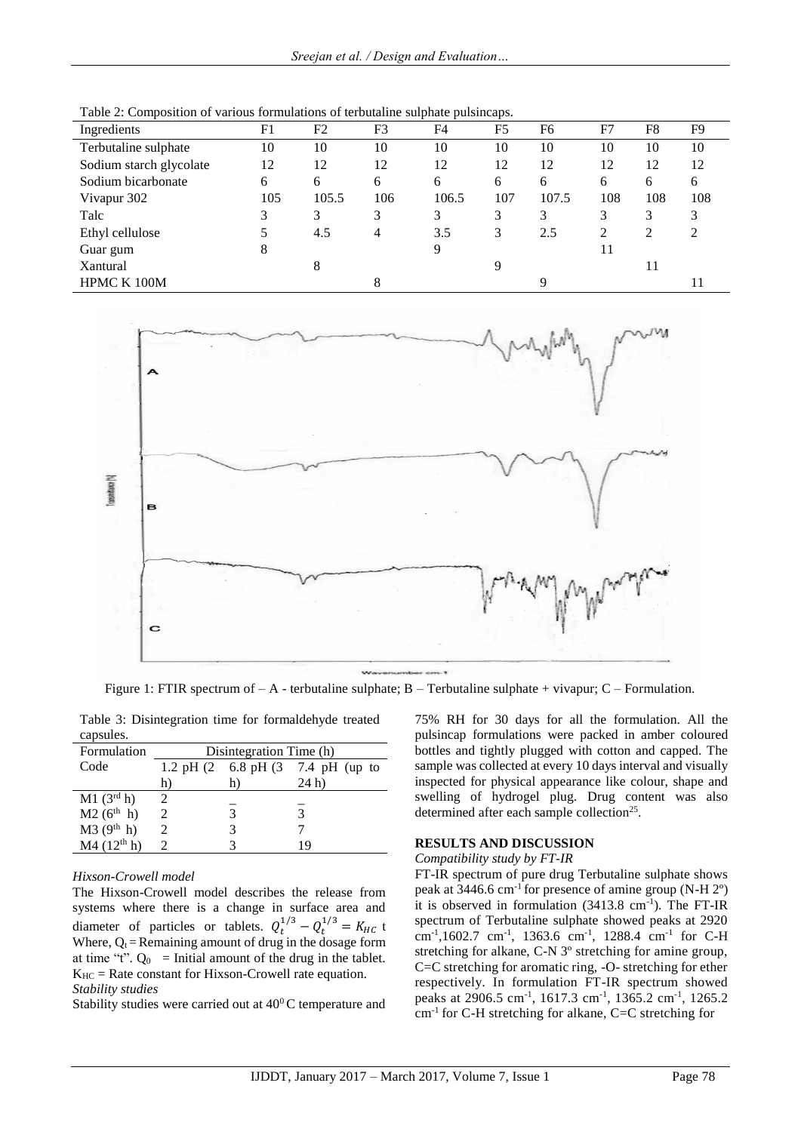|                         |     |       |                | ------ r ---------r-r |                |       |     |                |                |
|-------------------------|-----|-------|----------------|-----------------------|----------------|-------|-----|----------------|----------------|
| Ingredients             | F1  | F2    | F <sub>3</sub> | F <sub>4</sub>        | F <sub>5</sub> | F6    | F7  | F8             | F <sub>9</sub> |
| Terbutaline sulphate    | 10  | 10    | 10             | 10                    | 10             | 10    | 10  | 10             | 10             |
| Sodium starch glycolate | 12  | 12    | 12             | 12                    | 12             | 12    | 12  | 12             | 12             |
| Sodium bicarbonate      | 6   | 6     | 6              | 6                     | 6              | 6     | 6   | 6              | 6              |
| Vivapur 302             | 105 | 105.5 | 106            | 106.5                 | 107            | 107.5 | 108 | 108            | 108            |
| Talc                    |     | 3     | 3              | 3                     | 3              | 3     | 3   | 3              | 3              |
| Ethyl cellulose         |     | 4.5   | 4              | 3.5                   | 3              | 2.5   | 2   | $\mathfrak{D}$ | 2              |
| Guar gum                | 8   |       |                | 9                     |                |       | 11  |                |                |
| Xantural                |     | 8     |                |                       | 9              |       |     | 11             |                |
| HPMC K 100M             |     |       | 8              |                       |                |       |     |                |                |
|                         |     |       |                |                       |                |       |     |                |                |

Table 2: Composition of various formulations of terbutaline sulphate pulsincaps.



Figure 1: FTIR spectrum of  $-A$  - terbutaline sulphate; B – Terbutaline sulphate + vivapur; C – Formulation.

Table 3: Disintegration time for formaldehyde treated capsules.

| Formulation              | Disintegration Time (h) |    |                                                 |  |  |  |
|--------------------------|-------------------------|----|-------------------------------------------------|--|--|--|
| Code                     |                         |    | 1.2 pH $(2 \t 6.8 \t pH (3 \t 7.4 \t pH (up to$ |  |  |  |
|                          | h)                      | h) | 24 <sub>h</sub>                                 |  |  |  |
| $M1$ (3 <sup>rd</sup> h) |                         |    |                                                 |  |  |  |
| $M2 (6^{th} h)$          |                         |    |                                                 |  |  |  |
| M3(9 <sup>th</sup> h)    |                         |    |                                                 |  |  |  |
| M4 (12 <sup>th</sup> h)  |                         |    | 19                                              |  |  |  |

# *Hixson-Crowell model*

The Hixson-Crowell model describes the release from systems where there is a change in surface area and diameter of particles or tablets.  $Q_t^{1/3} - Q_t^{1/3} = K_{HC}$  t Where,  $Q_t$  = Remaining amount of drug in the dosage form at time "t".  $Q_0$  = Initial amount of the drug in the tablet.  $K_{HC}$  = Rate constant for Hixson-Crowell rate equation. *Stability studies*

Stability studies were carried out at  $40^{\circ}$ C temperature and

75% RH for 30 days for all the formulation. All the pulsincap formulations were packed in amber coloured bottles and tightly plugged with cotton and capped. The sample was collected at every 10 days interval and visually inspected for physical appearance like colour, shape and swelling of hydrogel plug. Drug content was also determined after each sample collection<sup>25</sup>.

# **RESULTS AND DISCUSSION**

# *Compatibility study by FT-IR*

FT-IR spectrum of pure drug Terbutaline sulphate shows peak at 3446.6 cm-1 for presence of amine group (N-H 2º) it is observed in formulation (3413.8 cm<sup>-1</sup>). The FT-IR spectrum of Terbutaline sulphate showed peaks at 2920 cm<sup>-1</sup>,1602.7 cm<sup>-1</sup>, 1363.6 cm<sup>-1</sup>, 1288.4 cm<sup>-1</sup> for C-H stretching for alkane, C-N 3º stretching for amine group, C=C stretching for aromatic ring, -O- stretching for ether respectively. In formulation FT-IR spectrum showed peaks at 2906.5 cm<sup>-1</sup>, 1617.3 cm<sup>-1</sup>, 1365.2 cm<sup>-1</sup>, 1265.2 cm-1 for C-H stretching for alkane, C=C stretching for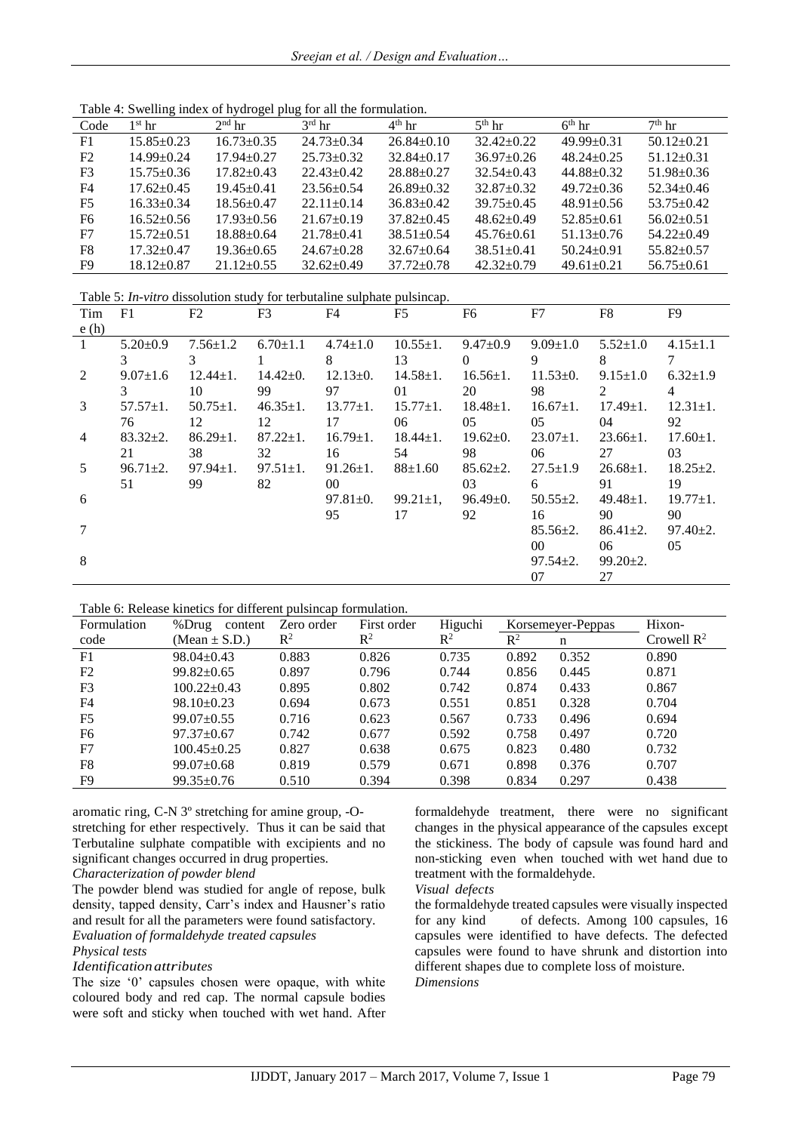| Table 4: Swelling index of hydrogel plug for all the formulation. |  |  |  |
|-------------------------------------------------------------------|--|--|--|
|                                                                   |  |  |  |

| Code           | l <sup>st</sup> hr | $2nd$ hr         | $3rd$ hr         | $4th$ hr         | $5th$ hr         | $6th$ hr         | $7th$ hr         |
|----------------|--------------------|------------------|------------------|------------------|------------------|------------------|------------------|
| F1             | $15.85 \pm 0.23$   | $16.73 \pm 0.35$ | $24.73 \pm 0.34$ | $26.84 \pm 0.10$ | $32.42 \pm 0.22$ | $49.99 + 0.31$   | $50.12 + 0.21$   |
| F2             | 14.99±0.24         | $17.94 \pm 0.27$ | $25.73 \pm 0.32$ | $32.84 \pm 0.17$ | $36.97 \pm 0.26$ | $48.24 \pm 0.25$ | $51.12 \pm 0.31$ |
| F <sub>3</sub> | $15.75 \pm 0.36$   | $17.82 \pm 0.43$ | $22.43 \pm 0.42$ | $28.88 \pm 0.27$ | $32.54 + 0.43$   | $44.88 \pm 0.32$ | $51.98 \pm 0.36$ |
| F4             | $17.62 \pm 0.45$   | $19.45 \pm 0.41$ | $23.56 \pm 0.54$ | $26.89 \pm 0.32$ | $32.87 \pm 0.32$ | $49.72 \pm 0.36$ | $52.34 + 0.46$   |
| F <sub>5</sub> | $16.33 + 0.34$     | $18.56 \pm 0.47$ | $22.11 + 0.14$   | $36.83 \pm 0.42$ | $39.75 \pm 0.45$ | $48.91 \pm 0.56$ | $53.75 + 0.42$   |
| F <sub>6</sub> | $16.52 \pm 0.56$   | $17.93 \pm 0.56$ | $21.67 \pm 0.19$ | $37.82 \pm 0.45$ | $48.62 \pm 0.49$ | $52.85 \pm 0.61$ | $56.02 \pm 0.51$ |
| F7             | $15.72 \pm 0.51$   | $18.88 \pm 0.64$ | $21.78 + 0.41$   | $38.51 + 0.54$   | $45.76 \pm 0.61$ | $51.13 + 0.76$   | $54.22 \pm 0.49$ |
| F <sub>8</sub> | $17.32 + 0.47$     | $19.36 \pm 0.65$ | $24.67 \pm 0.28$ | $32.67 \pm 0.64$ | $38.51 + 0.41$   | $50.24 + 0.91$   | $55.82 \pm 0.57$ |
| F9             | $18.12 \pm 0.87$   | $21.12 \pm 0.55$ | $32.62 \pm 0.49$ | $37.72 \pm 0.78$ | $42.32 \pm 0.79$ | $49.61 \pm 0.21$ | $56.75 \pm 0.61$ |

Table 5: *In-vitro* dissolution study for terbutaline sulphate pulsincap.

| Tim            | F1             | F <sub>2</sub> | F3             | F4              | F <sub>5</sub>  | F6             | F7              | F8             | F9             |
|----------------|----------------|----------------|----------------|-----------------|-----------------|----------------|-----------------|----------------|----------------|
| e(h)           |                |                |                |                 |                 |                |                 |                |                |
| 1              | $5.20 \pm 0.9$ | $7.56 \pm 1.2$ | $6.70 \pm 1.1$ | $4.74 \pm 1.0$  | $10.55 \pm 1.$  | $9.47 \pm 0.9$ | $9.09 \pm 1.0$  | $5.52 \pm 1.0$ | $4.15 \pm 1.1$ |
|                | 3              | 3              |                | 8               | 13              | $\theta$       | 9               | 8              | 7              |
| 2              | $9.07 \pm 1.6$ | $12.44 \pm 1.$ | $14.42 \pm 0.$ | $12.13 \pm 0.$  | $14.58 \pm 1.$  | $16.56 \pm 1.$ | $11.53 \pm 0.$  | $9.15 \pm 1.0$ | $6.32 \pm 1.9$ |
|                | 3              | 10             | 99             | 97              | 01              | 20             | 98              | 2              | $\overline{4}$ |
| 3              | $57.57 \pm 1.$ | $50.75 \pm 1.$ | $46.35 \pm 1.$ | $13.77 \pm 1.$  | $15.77 \pm 1.$  | $18.48 \pm 1.$ | $16.67 \pm 1.$  | $17.49 \pm 1.$ | $12.31 \pm 1.$ |
|                | 76             | 12             | 12             | 17              | 06              | 05             | 05              | 04             | 92             |
| $\overline{4}$ | $83.32 \pm 2.$ | $86.29 \pm 1.$ | $87.22 \pm 1.$ | $16.79 \pm 1.$  | $18.44 \pm 1.$  | $19.62 \pm 0.$ | $23.07 \pm 1.$  | $23.66 \pm 1.$ | $17.60 \pm 1.$ |
|                | 21             | 38             | 32             | 16              | 54              | 98             | 06              | 27             | 03             |
| 5              | $96.71 \pm 2.$ | $97.94 \pm 1.$ | $97.51 \pm 1.$ | $91.26 \pm 1.$  | $88 \pm 1.60$   | $85.62 \pm 2.$ | $27.5 \pm 1.9$  | $26.68 \pm 1.$ | $18.25 \pm 2.$ |
|                | 51             | 99             | 82             | 00 <sup>°</sup> |                 | 03             | 6               | 91             | 19             |
| 6              |                |                |                | $97.81 \pm 0.$  | $99.21 \pm 1$ , | $96.49 \pm 0.$ | $50.55 \pm 2.$  | $49.48 \pm 1.$ | $19.77 \pm 1.$ |
|                |                |                |                | 95              | 17              | 92             | 16              | 90             | 90             |
|                |                |                |                |                 |                 |                | $85.56 \pm 2.$  | $86.41 \pm 2.$ | $97.40 \pm 2.$ |
|                |                |                |                |                 |                 |                | 00 <sup>°</sup> | 06             | 05             |
| 8              |                |                |                |                 |                 |                | $97.54 \pm 2.$  | $99.20 \pm 2.$ |                |
|                |                |                |                |                 |                 |                | 07              | 27             |                |

| Table 6: Release kinetics for different pulsineap formulation. |  |  |  |
|----------------------------------------------------------------|--|--|--|
|----------------------------------------------------------------|--|--|--|

| Formulation    | %Drug<br>content  | Zero order     | First order    | Higuchi |       | Korsemeyer-Peppas | Hixon-                 |
|----------------|-------------------|----------------|----------------|---------|-------|-------------------|------------------------|
| code           | (Mean $\pm$ S.D.) | $\mathbb{R}^2$ | $\mathbb{R}^2$ | $R^2$   | $R^2$ | n                 | Crowell $\mathbb{R}^2$ |
| F <sub>1</sub> | $98.04 \pm 0.43$  | 0.883          | 0.826          | 0.735   | 0.892 | 0.352             | 0.890                  |
| F <sub>2</sub> | $99.82 \pm 0.65$  | 0.897          | 0.796          | 0.744   | 0.856 | 0.445             | 0.871                  |
| F <sub>3</sub> | $100.22 \pm 0.43$ | 0.895          | 0.802          | 0.742   | 0.874 | 0.433             | 0.867                  |
| F4             | $98.10 \pm 0.23$  | 0.694          | 0.673          | 0.551   | 0.851 | 0.328             | 0.704                  |
| F <sub>5</sub> | $99.07 \pm 0.55$  | 0.716          | 0.623          | 0.567   | 0.733 | 0.496             | 0.694                  |
| F <sub>6</sub> | $97.37 \pm 0.67$  | 0.742          | 0.677          | 0.592   | 0.758 | 0.497             | 0.720                  |
| F7             | $100.45 \pm 0.25$ | 0.827          | 0.638          | 0.675   | 0.823 | 0.480             | 0.732                  |
| F8             | $99.07 \pm 0.68$  | 0.819          | 0.579          | 0.671   | 0.898 | 0.376             | 0.707                  |
| F9             | $99.35 \pm 0.76$  | 0.510          | 0.394          | 0.398   | 0.834 | 0.297             | 0.438                  |

aromatic ring, C-N 3º stretching for amine group, -Ostretching for ether respectively. Thus it can be said that Terbutaline sulphate compatible with excipients and no significant changes occurred in drug properties.

# *Characterization of powder blend*

The powder blend was studied for angle of repose, bulk density, tapped density, Carr's index and Hausner's ratio and result for all the parameters were found satisfactory. *Evaluation of formaldehyde treated capsules Physical tests*

# *Identification attributes*

The size '0' capsules chosen were opaque, with white coloured body and red cap. The normal capsule bodies were soft and sticky when touched with wet hand. After formaldehyde treatment, there were no significant changes in the physical appearance of the capsules except the stickiness. The body of capsule was found hard and non-sticking even when touched with wet hand due to treatment with the formaldehyde.

# *Visual defects*

the formaldehyde treated capsules were visually inspected for any kind of defects. Among 100 capsules, 16 capsules were identified to have defects. The defected capsules were found to have shrunk and distortion into different shapes due to complete loss of moisture. *Dimensions*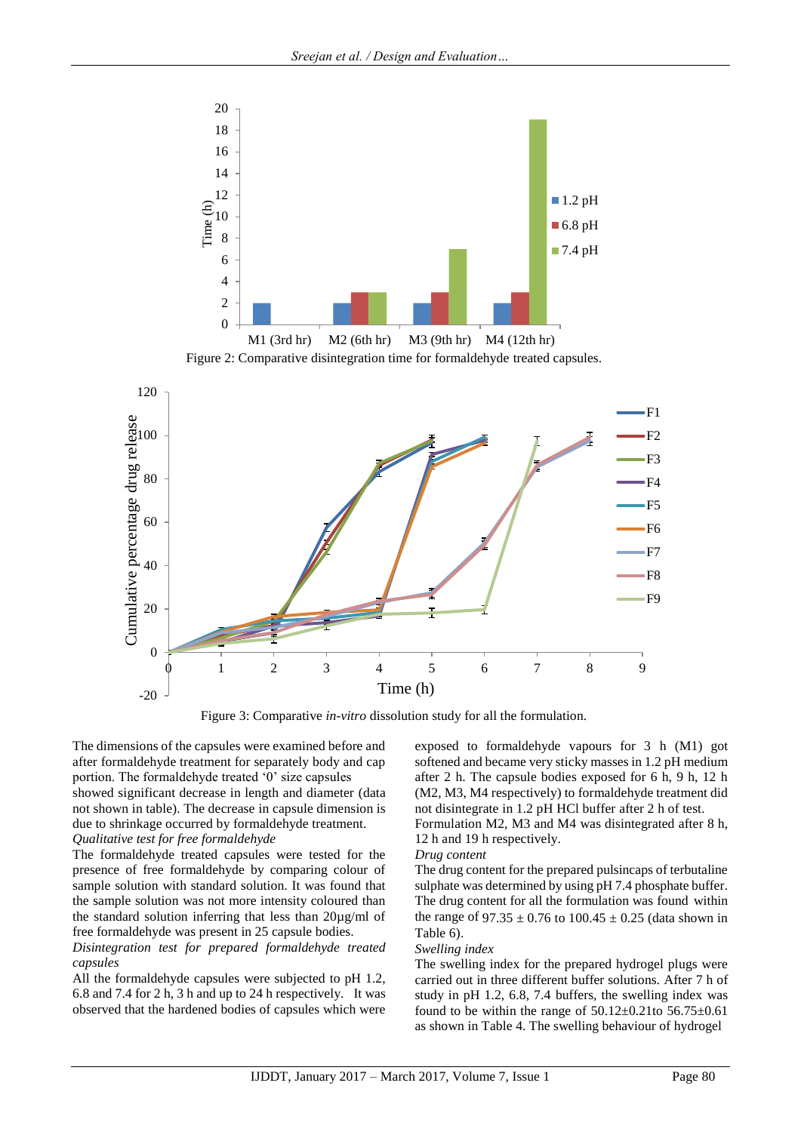





Figure 3: Comparative *in-vitro* dissolution study for all the formulation.

The dimensions of the capsules were examined before and after formaldehyde treatment for separately body and cap portion. The formaldehyde treated '0' size capsules showed significant decrease in length and diameter (data not shown in table). The decrease in capsule dimension is due to shrinkage occurred by formaldehyde treatment.

# *Qualitative test for free formaldehyde*

The formaldehyde treated capsules were tested for the presence of free formaldehyde by comparing colour of sample solution with standard solution. It was found that the sample solution was not more intensity coloured than the standard solution inferring that less than 20µg/ml of free formaldehyde was present in 25 capsule bodies.

# *Disintegration test for prepared formaldehyde treated capsules*

All the formaldehyde capsules were subjected to pH 1.2, 6.8 and 7.4 for 2 h, 3 h and up to 24 h respectively.It was observed that the hardened bodies of capsules which were exposed to formaldehyde vapours for 3 h (M1) got softened and became very sticky masses in 1.2 pH medium after 2 h. The capsule bodies exposed for 6 h, 9 h, 12 h (M2, M3, M4 respectively) to formaldehyde treatment did not disintegrate in 1.2 pH HCl buffer after 2 h of test.

Formulation M2, M3 and M4 was disintegrated after 8 h, 12 h and 19 h respectively.

#### *Drug content*

The drug content for the prepared pulsincaps of terbutaline sulphate was determined by using pH 7.4 phosphate buffer. The drug content for all the formulation was found within the range of 97.35  $\pm$  0.76 to 100.45  $\pm$  0.25 (data shown in Table 6).

#### *Swelling index*

The swelling index for the prepared hydrogel plugs were carried out in three different buffer solutions. After 7 h of study in pH 1.2, 6.8, 7.4 buffers, the swelling index was found to be within the range of  $50.12 \pm 0.21$  to  $56.75 \pm 0.61$ as shown in Table 4. The swelling behaviour of hydrogel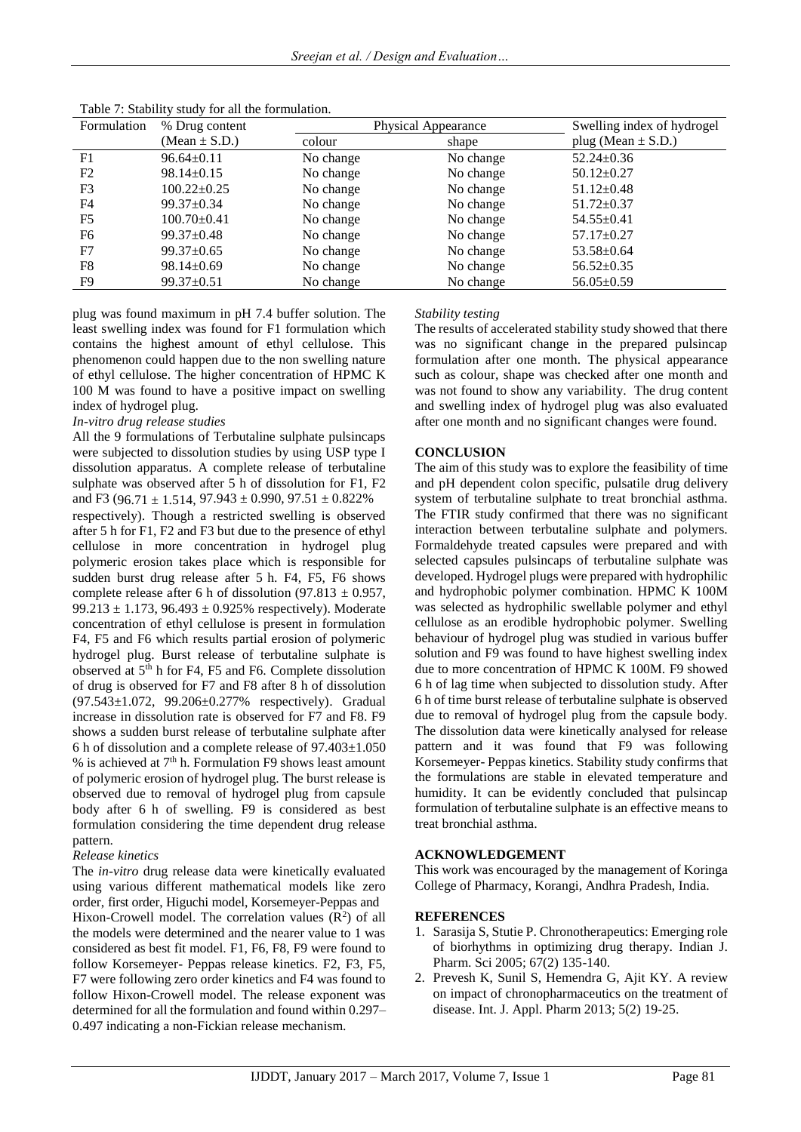| Formulation    | % Drug content    | Physical Appearance | Swelling index of hydrogel |                        |
|----------------|-------------------|---------------------|----------------------------|------------------------|
|                | (Mean $\pm$ S.D.) | colour              | shape                      | plug (Mean $\pm$ S.D.) |
| F1             | $96.64 \pm 0.11$  | No change           | No change                  | $52.24 \pm 0.36$       |
| F2             | $98.14 \pm 0.15$  | No change           | No change                  | $50.12 \pm 0.27$       |
| F <sub>3</sub> | $100.22 \pm 0.25$ | No change           | No change                  | $51.12 \pm 0.48$       |
| F4             | $99.37 \pm 0.34$  | No change           | No change                  | $51.72 \pm 0.37$       |
| F <sub>5</sub> | $100.70 \pm 0.41$ | No change           | No change                  | $54.55 \pm 0.41$       |
| F <sub>6</sub> | $99.37 \pm 0.48$  | No change           | No change                  | $57.17 \pm 0.27$       |
| F7             | $99.37 \pm 0.65$  | No change           | No change                  | $53.58 \pm 0.64$       |
| F8             | $98.14 \pm 0.69$  | No change           | No change                  | $56.52 \pm 0.35$       |
| F9             | $99.37 \pm 0.51$  | No change           | No change                  | $56.05 \pm 0.59$       |

Table 7: Stability study for all the formulation.

plug was found maximum in pH 7.4 buffer solution. The least swelling index was found for F1 formulation which contains the highest amount of ethyl cellulose. This phenomenon could happen due to the non swelling nature of ethyl cellulose. The higher concentration of HPMC K 100 M was found to have a positive impact on swelling index of hydrogel plug.

## *In-vitro drug release studies*

All the 9 formulations of Terbutaline sulphate pulsincaps were subjected to dissolution studies by using USP type I dissolution apparatus. A complete release of terbutaline sulphate was observed after 5 h of dissolution for F1, F2 and F3 (96.71  $\pm$  1.514, 97.943  $\pm$  0.990, 97.51  $\pm$  0.822%

respectively). Though a restricted swelling is observed after 5 h for F1, F2 and F3 but due to the presence of ethyl cellulose in more concentration in hydrogel plug polymeric erosion takes place which is responsible for sudden burst drug release after 5 h. F4, F5, F6 shows complete release after 6 h of dissolution (97.813  $\pm$  0.957, 99.213  $\pm$  1.173, 96.493  $\pm$  0.925% respectively). Moderate concentration of ethyl cellulose is present in formulation F4, F5 and F6 which results partial erosion of polymeric hydrogel plug. Burst release of terbutaline sulphate is observed at  $5<sup>th</sup>$  h for F4, F5 and F6. Complete dissolution of drug is observed for F7 and F8 after 8 h of dissolution (97.543±1.072, 99.206±0.277% respectively). Gradual increase in dissolution rate is observed for F7 and F8. F9 shows a sudden burst release of terbutaline sulphate after 6 h of dissolution and a complete release of  $97.403 \pm 1.050$ % is achieved at  $7<sup>th</sup>$  h. Formulation F9 shows least amount of polymeric erosion of hydrogel plug. The burst release is observed due to removal of hydrogel plug from capsule body after 6 h of swelling. F9 is considered as best formulation considering the time dependent drug release pattern.

# *Release kinetics*

The *in-vitro* drug release data were kinetically evaluated using various different mathematical models like zero order, first order, Higuchi model, Korsemeyer-Peppas and Hixon-Crowell model. The correlation values  $(R^2)$  of all the models were determined and the nearer value to 1 was considered as best fit model. F1, F6, F8, F9 were found to follow Korsemeyer- Peppas release kinetics. F2, F3, F5, F7 were following zero order kinetics and F4 was found to follow Hixon-Crowell model. The release exponent was determined for all the formulation and found within 0.297– 0.497 indicating a non-Fickian release mechanism.

## *Stability testing*

The results of accelerated stability study showed that there was no significant change in the prepared pulsincap formulation after one month. The physical appearance such as colour, shape was checked after one month and was not found to show any variability. The drug content and swelling index of hydrogel plug was also evaluated after one month and no significant changes were found.

## **CONCLUSION**

The aim of this study was to explore the feasibility of time and pH dependent colon specific, pulsatile drug delivery system of terbutaline sulphate to treat bronchial asthma. The FTIR study confirmed that there was no significant interaction between terbutaline sulphate and polymers. Formaldehyde treated capsules were prepared and with selected capsules pulsincaps of terbutaline sulphate was developed. Hydrogel plugs were prepared with hydrophilic and hydrophobic polymer combination. HPMC K 100M was selected as hydrophilic swellable polymer and ethyl cellulose as an erodible hydrophobic polymer. Swelling behaviour of hydrogel plug was studied in various buffer solution and F9 was found to have highest swelling index due to more concentration of HPMC K 100M. F9 showed 6 h of lag time when subjected to dissolution study. After 6 h of time burst release of terbutaline sulphate is observed due to removal of hydrogel plug from the capsule body. The dissolution data were kinetically analysed for release pattern and it was found that F9 was following Korsemeyer- Peppas kinetics. Stability study confirms that the formulations are stable in elevated temperature and humidity. It can be evidently concluded that pulsincap formulation of terbutaline sulphate is an effective means to treat bronchial asthma.

# **ACKNOWLEDGEMENT**

This work was encouraged by the management of Koringa College of Pharmacy, Korangi, Andhra Pradesh, India.

#### **REFERENCES**

- 1. Sarasija S, Stutie P. Chronotherapeutics: Emerging role of biorhythms in optimizing drug therapy. Indian J. Pharm. Sci 2005; 67(2) 135-140.
- 2. Prevesh K, Sunil S, Hemendra G, Ajit KY. A review on impact of chronopharmaceutics on the treatment of disease. Int. J. Appl. Pharm 2013; 5(2) 19-25.